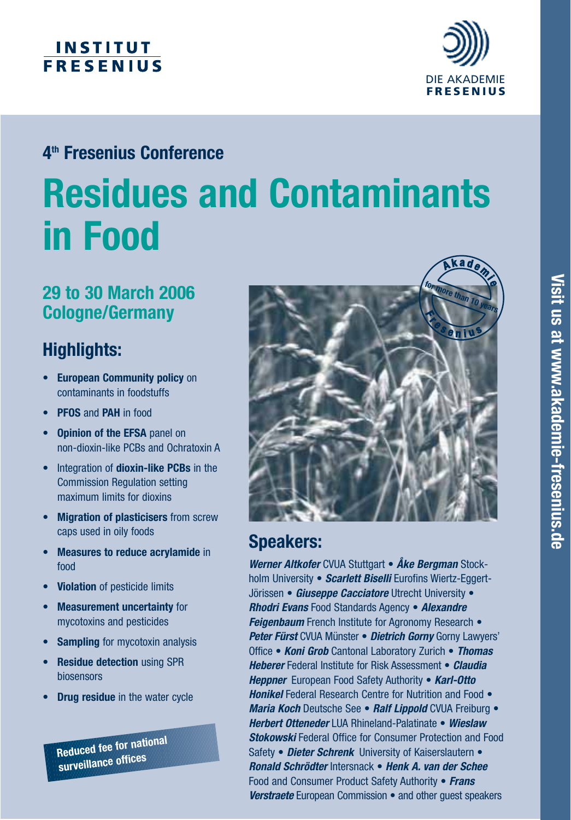# **INSTITUT FRESENIUS**



# **4th Fresenius Conference**

# **Residues and Contaminants in Food**

# **29 to 30 March 2006 Cologne/Germany**

# **Highlights:**

- **European Community policy** on contaminants in foodstuffs
- **PFOS** and **PAH** in food
- **Opinion of the EFSA** panel on non-dioxin-like PCBs and Ochratoxin A
- Integration of **dioxin-like PCBs** in the Commission Regulation setting maximum limits for dioxins
- **Migration of plasticisers** from screw caps used in oily foods
- **Measures to reduce acrylamide** in food
- **Violation** of pesticide limits
- **Measurement uncertainty** for mycotoxins and pesticides
- **Sampling** for mycotoxin analysis
- **Residue detection** using SPR biosensors
- **Drug residue** in the water cycle

**Reduced fee for national surveillance offices**



# **Speakers:**

*Werner Altkofer* CVUA Stuttgart • *Åke Bergman* Stockholm University • *Scarlett Biselli* Eurofins Wiertz-Eggert-Jörissen • *Giuseppe Cacciatore* Utrecht University • *Rhodri Evans* Food Standards Agency • *Alexandre* **Feigenbaum** French Institute for Agronomy Research • *Peter Fürst* CVUA Münster • *Dietrich Gorny* Gorny Lawyers' Office • *Koni Grob* Cantonal Laboratory Zurich • *Thomas Heberer* Federal Institute for Risk Assessment • *Claudia Heppner* European Food Safety Authority • *Karl-Otto Honikel* Federal Research Centre for Nutrition and Food • *Maria Koch* Deutsche See • *Ralf Lippold* CVUA Freiburg • *Herbert Otteneder* LUA Rhineland-Palatinate • *Wieslaw Stokowski* Federal Office for Consumer Protection and Food Safety • *Dieter Schrenk* University of Kaiserslautern • *Ronald Schrödter* Intersnack • *Henk A. van der Schee* Food and Consumer Product Safety Authority • *Frans Verstraete* European Commission • and other guest speakers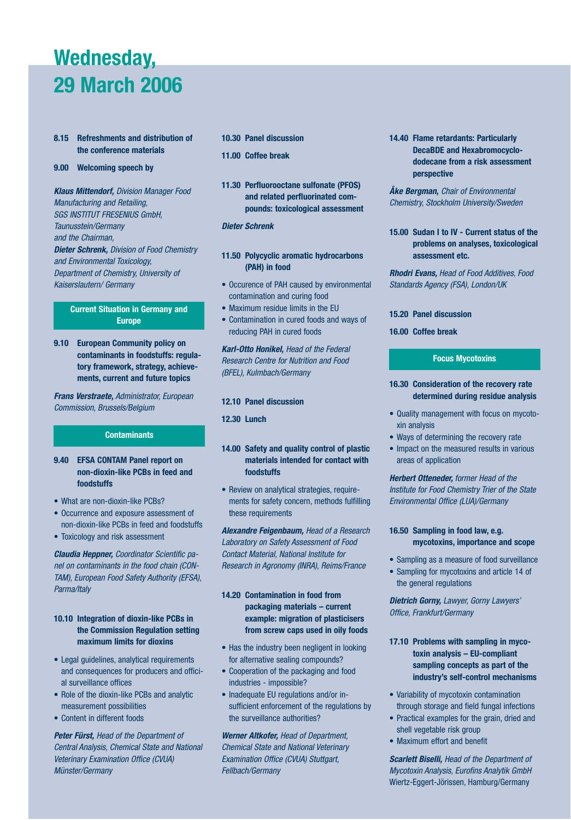# **Wednesday, 29 March 2006**

- **8.15 Refreshments and distribution of the conference materials**
- **9.00 Welcoming speech by**

*Klaus Mittendorf,* Division Manager Food Manufacturing and Retailing, SGS INSTITUT FRESENIUS GmbH, Taunusstein/Germany and the Chairman, *Dieter Schrenk,* Division of Food Chemistry and Environmental Toxicology, Department of Chemistry, University of Kaiserslautern/ Germany

### **Current Situation in Germany and Europe**

**9.10 European Community policy on contaminants in foodstuffs: regulatory framework, strategy, achievements, current and future topics**

*Frans Verstraete,* Administrator, European Commission, Brussels/Belgium

## **Contaminants**

- **9.40 EFSA CONTAM Panel report on non-dioxin-like PCBs in feed and foodstuffs**
- What are non-dioxin-like PCBs?
- Occurrence and exposure assessment of non-dioxin-like PCBs in feed and foodstuffs
- Toxicology and risk assessment

*Claudia Heppner,* Coordinator Scientific panel on contaminants in the food chain (CON-TAM), European Food Safety Authority (EFSA), Parma/Italy

## **10.10 Integration of dioxin-like PCBs in the Commission Regulation setting maximum limits for dioxins**

- Legal guidelines, analytical requirements and consequences for producers and official surveillance offices
- Role of the dioxin-like PCBs and analytic measurement possibilities
- Content in different foods

*Peter Fürst,* Head of the Department of Central Analysis, Chemical State and National Veterinary Examination Office (CVUA) Münster/Germany

- **10.30 Panel discussion**
- **11.00 Coffee break**
- **11.30 Perfluorooctane sulfonate (PFOS) and related perfluorinated compounds: toxicological assessment**

### *Dieter Schrenk*

- **11.50 Polycyclic aromatic hydrocarbons (PAH) in food**
- Occurence of PAH caused by environmental contamination and curing food
- Maximum residue limits in the EU
- Contamination in cured foods and ways of reducing PAH in cured foods

*Karl-Otto Honikel,* Head of the Federal Research Centre for Nutrition and Food (BFEL), Kulmbach/Germany

#### **12.10 Panel discussion**

**12.30 Lunch**

## **14.00 Safety and quality control of plastic materials intended for contact with foodstuffs**

• Review on analytical strategies, requirements for safety concern, methods fulfilling these requirements

*Alexandre Feigenbaum,* Head of a Research Laboratory on Safety Assessment of Food Contact Material, National Institute for Research in Agronomy (INRA), Reims/France

**14.20 Contamination in food from packaging materials – current example: migration of plasticisers from screw caps used in oily foods**

- Has the industry been negligent in looking for alternative sealing compounds?
- Cooperation of the packaging and food industries - impossible?
- Inadequate EU regulations and/or insufficient enforcement of the regulations by the surveillance authorities?

*Werner Altkofer,* Head of Department, Chemical State and National Veterinary Examination Office (CVUA) Stuttgart, Fellbach/Germany

**14.40 Flame retardants: Particularly DecaBDE and Hexabromocyclododecane from a risk assessment perspective**

*Åke Bergman,* Chair of Environmental Chemistry, Stockholm University/Sweden

**15.00 Sudan I to IV - Current status of the problems on analyses, toxicological assessment etc.**

*Rhodri Evans,* Head of Food Additives, Food Standards Agency (FSA), London/UK

#### **15.20 Panel discussion**

**16.00 Coffee break**

### **Focus Mycotoxins**

### **16.30 Consideration of the recovery rate determined during residue analysis**

- Quality management with focus on mycotoxin analysis
- Ways of determining the recovery rate
- Impact on the measured results in various areas of application

*Herbert Otteneder,* former Head of the Institute for Food Chemistry Trier of the State Environmental Office (LUA)/Germany

## **16.50 Sampling in food law, e.g. mycotoxins, importance and scope**

- Sampling as a measure of food surveillance
- Sampling for mycotoxins and article 14 of the general regulations

*Dietrich Gorny,* Lawyer, Gorny Lawyers' Office, Frankfurt/Germany

- **17.10 Problems with sampling in mycotoxin analysis – EU-compliant sampling concepts as part of the industry's self-control mechanisms**
- Variability of mycotoxin contamination through storage and field fungal infections
- Practical examples for the grain, dried and shell vegetable risk group
- Maximum effort and benefit

*Scarlett Biselli,* Head of the Department of Mycotoxin Analysis, Eurofins Analytik GmbH Wiertz-Eggert-Jörissen, Hamburg/Germany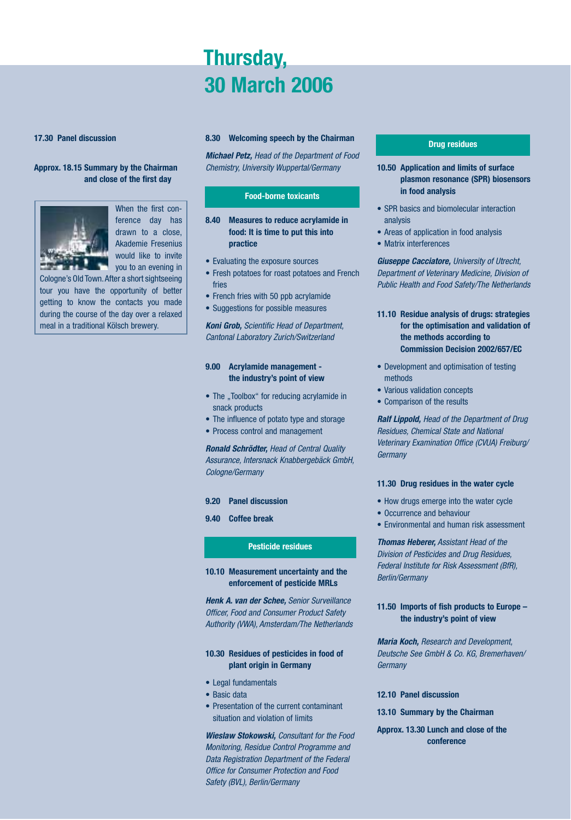# **Thursday, 30 March 2006**

#### **17.30 Panel discussion**

### **Approx. 18.15 Summary by the Chairman and close of the first day**



When the first conference day has drawn to a close, Akademie Fresenius would like to invite you to an evening in

Cologne's Old Town.After a short sightseeing tour you have the opportunity of better getting to know the contacts you made during the course of the day over a relaxed meal in a traditional Kölsch brewery.

#### **8.30 Welcoming speech by the Chairman**

*Michael Petz,* Head of the Department of Food Chemistry, University Wuppertal/Germany

#### **Food-borne toxicants**

- **8.40 Measures to reduce acrylamide in food: It is time to put this into practice**
- Evaluating the exposure sources
- Fresh potatoes for roast potatoes and French fries
- French fries with 50 ppb acrylamide
- Suggestions for possible measures

*Koni Grob,* Scientific Head of Department, Cantonal Laboratory Zurich/Switzerland

### **9.00 Acrylamide management the industry's point of view**

- The "Toolbox" for reducing acrylamide in snack products
- The influence of potato type and storage
- Process control and management

*Ronald Schrödter,* Head of Central Quality Assurance, Intersnack Knabbergebäck GmbH, Cologne/Germany

#### **9.20 Panel discussion**

**9.40 Coffee break**

### **Pesticide residues**

#### **10.10 Measurement uncertainty and the enforcement of pesticide MRLs**

*Henk A. van der Schee,* Senior Surveillance Officer, Food and Consumer Product Safety Authority (VWA), Amsterdam/The Netherlands

### **10.30 Residues of pesticides in food of plant origin in Germany**

- Legal fundamentals
- Basic data
- Presentation of the current contaminant situation and violation of limits

*Wieslaw Stokowski,* Consultant for the Food Monitoring, Residue Control Programme and Data Registration Department of the Federal Office for Consumer Protection and Food Safety (BVL), Berlin/Germany

#### **Drug residues**

- **10.50 Application and limits of surface plasmon resonance (SPR) biosensors in food analysis**
- SPR basics and biomolecular interaction analysis
- Areas of application in food analysis
- Matrix interferences

*Giuseppe Cacciatore,* University of Utrecht, Department of Veterinary Medicine, Division of Public Health and Food Safety/The Netherlands

- **11.10 Residue analysis of drugs: strategies for the optimisation and validation of the methods according to Commission Decision 2002/657/EC**
- Development and optimisation of testing methods
- Various validation concepts
- Comparison of the results

*Ralf Lippold,* Head of the Department of Drug Residues, Chemical State and National Veterinary Examination Office (CVUA) Freiburg/ **Germany** 

#### **11.30 Drug residues in the water cycle**

- How drugs emerge into the water cycle
- Occurrence and behaviour
- Environmental and human risk assessment

*Thomas Heberer,* Assistant Head of the Division of Pesticides and Drug Residues, Federal Institute for Risk Assessment (BfR), Berlin/Germany

#### **11.50 Imports of fish products to Europe – the industry's point of view**

*Maria Koch,* Research and Development, Deutsche See GmbH & Co. KG, Bremerhaven/ Germany

- **12.10 Panel discussion**
- **13.10 Summary by the Chairman**
- **Approx. 13.30 Lunch and close of the conference**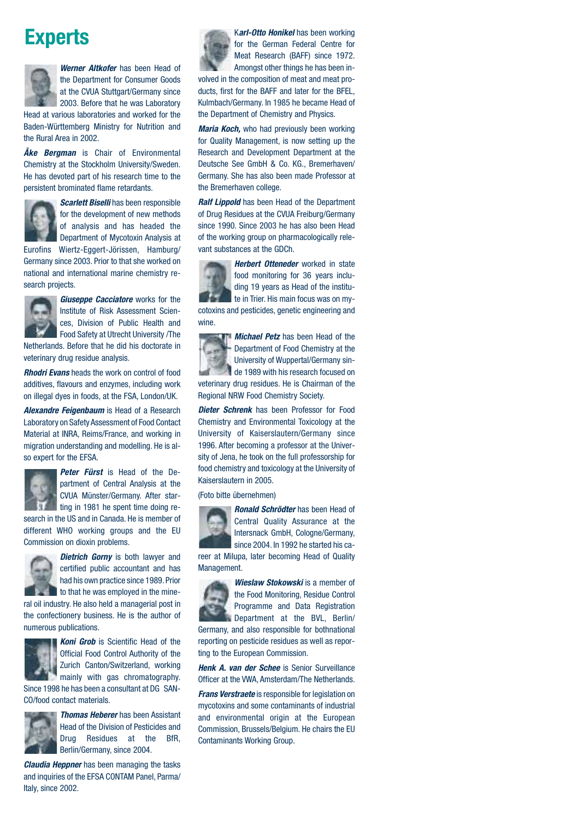# **Experts**



*Werner Altkofer* has been Head of the Department for Consumer Goods at the CVUA Stuttgart/Germany since 2003. Before that he was Laboratory

Head at various laboratories and worked for the Baden-Württemberg Ministry for Nutrition and the Rural Area in 2002.

*Åke Bergman* is Chair of Environmental Chemistry at the Stockholm University/Sweden. He has devoted part of his research time to the persistent brominated flame retardants.



*Scarlett Biselli* has been responsible for the development of new methods of analysis and has headed the Department of Mycotoxin Analysis at

Eurofins Wiertz-Eggert-Jörissen, Hamburg/ Germany since 2003. Prior to that she worked on national and international marine chemistry research projects.



*Giuseppe Cacciatore* works for the Institute of Risk Assessment Sciences, Division of Public Health and Food Safety at Utrecht University /The

Netherlands. Before that he did his doctorate in veterinary drug residue analysis.

*Rhodri Evans* heads the work on control of food additives, flavours and enzymes, including work on illegal dyes in foods, at the FSA, London/UK.

*Alexandre Feigenbaum* is Head of a Research Laboratory on Safety Assessment of Food Contact Material at INRA, Reims/France, and working in migration understanding and modelling. He is also expert for the EFSA.



*Peter Fürst* is Head of the Department of Central Analysis at the CVUA Münster/Germany. After starting in 1981 he spent time doing re-

search in the US and in Canada. He is member of different WHO working groups and the EU Commission on dioxin problems.



certified public accountant and has had his own practice since 1989. Prior to that he was employed in the mine-

ral oil industry. He also held a managerial post in the confectionery business. He is the author of numerous publications.



*Koni Grob* is Scientific Head of the Official Food Control Authority of the Zurich Canton/Switzerland, working mainly with gas chromatography.

Since 1998 he has been a consultant at DG SAN-CO/food contact materials.



*Thomas Heberer* has been Assistant Head of the Division of Pesticides and Drug Residues at the BfR, Berlin/Germany, since 2004.

*Claudia Heppner* has been managing the tasks and inquiries of the EFSA CONTAM Panel, Parma/ Italy, since 2002.

K*arl-Otto Honikel* has been working for the German Federal Centre for Meat Research (BAFF) since 1972. Amongst other things he has been involved in the composition of meat and meat products, first for the BAFF and later for the BFEL, Kulmbach/Germany. In 1985 he became Head of the Department of Chemistry and Physics.

*Maria Koch,* who had previously been working for Quality Management, is now setting up the Research and Development Department at the Deutsche See GmbH & Co. KG., Bremerhaven/ Germany. She has also been made Professor at the Bremerhaven college.

*Ralf Lippold* has been Head of the Department of Drug Residues at the CVUA Freiburg/Germany since 1990. Since 2003 he has also been Head of the working group on pharmacologically relevant substances at the GDCh.

*Herbert Otteneder* worked in state food monitoring for 36 years including 19 years as Head of the institute in Trier. His main focus was on mycotoxins and pesticides, genetic engineering and wine.



*Michael Petz* has been Head of the Department of Food Chemistry at the University of Wuppertal/Germany sinde 1989 with his research focused on veterinary drug residues. He is Chairman of the

Regional NRW Food Chemistry Society.

*Dieter Schrenk* has been Professor for Food Chemistry and Environmental Toxicology at the University of Kaiserslautern/Germany since 1996. After becoming a professor at the University of Jena, he took on the full professorship for food chemistry and toxicology at the University of Kaiserslautern in 2005.

(Foto bitte übernehmen)



*Ronald Schrödter* has been Head of Central Quality Assurance at the Intersnack GmbH, Cologne/Germany, since 2004. In 1992 he started his ca-

reer at Milupa, later becoming Head of Quality Management.



*Wieslaw Stokowski* is a member of the Food Monitoring, Residue Control Programme and Data Registration Department at the BVL, Berlin/ Germany, and also responsible for bothnational

reporting on pesticide residues as well as reporting to the European Commission.

*Henk A. van der Schee* is Senior Surveillance Officer at the VWA, Amsterdam/The Netherlands.

*Frans Verstraete* is responsible for legislation on mycotoxins and some contaminants of industrial and environmental origin at the European Commission, Brussels/Belgium. He chairs the EU Contaminants Working Group.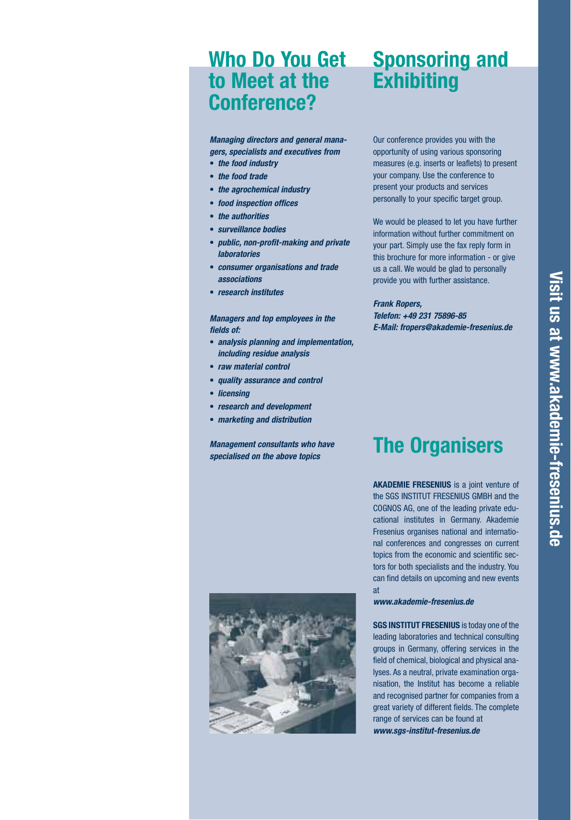# **Who Do You Get Sponsoring and to Meet at the Conference?**

*Managing directors and general managers, specialists and executives from*

- **•** *the food industry*
- **•** *the food trade*
- **•** *the agrochemical industry*
- **•** *food inspection offices*
- **•** *the authorities*
- **•** *surveillance bodies*
- **•** *public, non-profit-making and private laboratories*
- **•** *consumer organisations and trade associations*
- **•** *research institutes*

### *Managers and top employees in the fields of:*

- **•** *analysis planning and implementation, including residue analysis*
- **•** *raw material control*
- **•** *quality assurance and control*
- **•** *licensing*
- **•** *research and development*
- **•** *marketing and distribution*

*Management consultants who have specialised on the above topics*

# **Exhibiting**

Our conference provides you with the opportunity of using various sponsoring measures (e.g. inserts or leaflets) to present your company. Use the conference to present your products and services personally to your specific target group.

We would be pleased to let you have further information without further commitment on your part. Simply use the fax reply form in this brochure for more information - or give us a call. We would be glad to personally provide you with further assistance.

#### *Frank Ropers,*

*Telefon: +49 231 75896-85 E-Mail: fropers@akademie-fresenius.de*

# **The Organisers**

**AKADEMIE FRESENIUS** is a joint venture of the SGS INSTITUT FRESENIUS GMBH and the COGNOS AG, one of the leading private educational institutes in Germany. Akademie Fresenius organises national and international conferences and congresses on current topics from the economic and scientific sectors for both specialists and the industry. You can find details on upcoming and new events at

*www.akademie-fresenius.de* 

**SGS INSTITUT FRESENIUS** is today one of the leading laboratories and technical consulting groups in Germany, offering services in the field of chemical, biological and physical analyses. As a neutral, private examination organisation, the Institut has become a reliable and recognised partner for companies from a great variety of different fields. The complete range of services can be found at *www.sgs-institut-fresenius.de*